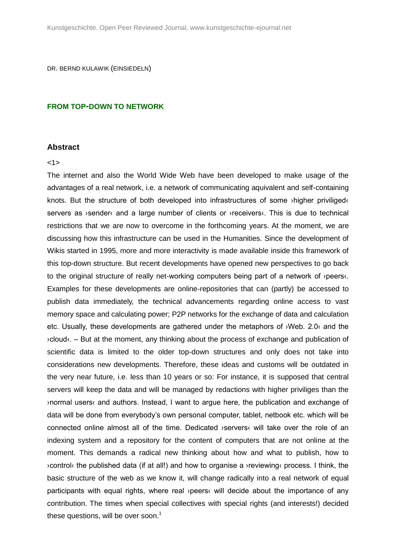DR. BERND KULAWIK (EINSIEDELN)

### **FROM TOP-DOWN TO NETWORK**

### **Abstract**

### <1>

The internet and also the World Wide Web have been developed to make usage of the advantages of a real network, i.e. a network of communicating aquivalent and self-containing knots. But the structure of both developed into infrastructures of some ›higher priviliged‹ servers as **>sender**< and a large number of clients or **>receivers**<. This is due to technical restrictions that we are now to overcome in the forthcoming years. At the moment, we are discussing how this infrastructure can be used in the Humanities. Since the development of Wikis started in 1995, more and more interactivity is made available inside this framework of this top-down structure. But recent developments have opened new perspectives to go back to the original structure of really net-working computers being part of a network of ›peers‹. Examples for these developments are online-repositories that can (partly) be accessed to publish data immediately, the technical advancements regarding online access to vast memory space and calculating power; P2P networks for the exchange of data and calculation etc. Usually, these developments are gathered under the metaphors of ›Web. 2.0‹ and the ›cloud‹. – But at the moment, any thinking about the process of exchange and publication of scientific data is limited to the older top-down structures and only does not take into considerations new developments. Therefore, these ideas and customs will be outdated in the very near future, i.e. less than 10 years or so: For instance, it is supposed that central servers will keep the data and will be managed by redactions with higher priviliges than the ›normal users‹ and authors. Instead, I want to argue here, the publication and exchange of data will be done from everybody's own personal computer, tablet, netbook etc. which will be connected online almost all of the time. Dedicated ›servers‹ will take over the role of an indexing system and a repository for the content of computers that are not online at the moment. This demands a radical new thinking about how and what to publish, how to ›control‹ the published data (if at all!) and how to organise a ›reviewing‹ process. I think, the basic structure of the web as we know it, will change radically into a real network of equal participants with equal rights, where real ›peers‹ will decide about the importance of any contribution. The times when special collectives with special rights (and interests!) decided these questions, will be over soon.<sup>1</sup>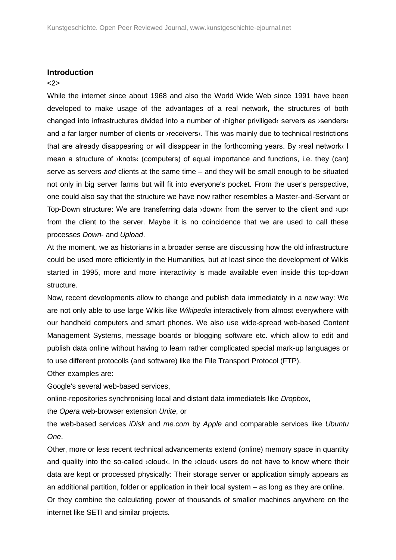### **Introduction**

## <2>

While the internet since about 1968 and also the World Wide Web since 1991 have been developed to make usage of the advantages of a real network, the structures of both changed into infrastructures divided into a number of ›higher priviliged‹ servers as ›senders‹ and a far larger number of clients or *y*receivers. This was mainly due to technical restrictions that are already disappearing or will disappear in the forthcoming years. By ›real network‹ I mean a structure of  $\lambda$  knots (computers) of equal importance and functions, i.e. they (can) serve as servers *and* clients at the same time – and they will be small enough to be situated not only in big server farms but will fit into everyone's pocket. From the user's perspective, one could also say that the structure we have now rather resembles a Master-and-Servant or Top-Down structure: We are transferring data ›down‹ from the server to the client and ›up‹ from the client to the server. Maybe it is no coincidence that we are used to call these processes *Down*- and *Upload*.

At the moment, we as historians in a broader sense are discussing how the old infrastructure could be used more efficiently in the Humanities, but at least since the development of Wikis started in 1995, more and more interactivity is made available even inside this top-down structure.

Now, recent developments allow to change and publish data immediately in a new way: We are not only able to use large Wikis like *Wikipedia* interactively from almost everywhere with our handheld computers and smart phones. We also use wide-spread web-based Content Management Systems, message boards or blogging software etc. which allow to edit and publish data online without having to learn rather complicated special mark-up languages or to use different protocolls (and software) like the File Transport Protocol (FTP).

Other examples are:

Google's several web-based services,

online-repositories synchronising local and distant data immediatels like *Dropbox*,

the *Opera* web-browser extension *Unite*, or

the web-based services *iDisk* and *me.com* by *Apple* and comparable services like *Ubuntu One*.

Other, more or less recent technical advancements extend (online) memory space in quantity and quality into the so-called ›cloud‹. In the ›cloud‹ users do not have to know where their data are kept or processed physically: Their storage server or application simply appears as an additional partition, folder or application in their local system – as long as they are online.

Or they combine the calculating power of thousands of smaller machines anywhere on the internet like SETI and similar projects.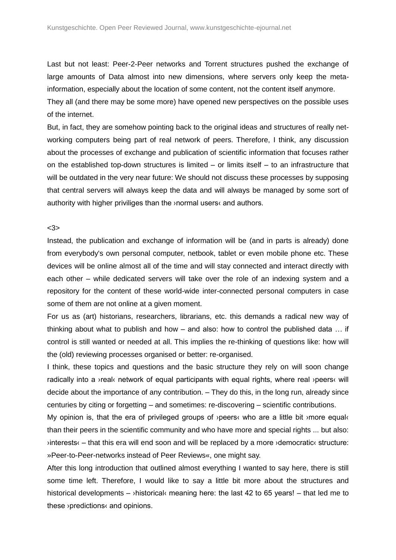Last but not least: Peer-2-Peer networks and Torrent structures pushed the exchange of large amounts of Data almost into new dimensions, where servers only keep the metainformation, especially about the location of some content, not the content itself anymore.

They all (and there may be some more) have opened new perspectives on the possible uses of the internet.

But, in fact, they are somehow pointing back to the original ideas and structures of really networking computers being part of real network of peers. Therefore, I think, any discussion about the processes of exchange and publication of scientific information that focuses rather on the established top-down structures is limited – or limits itself – to an infrastructure that will be outdated in the very near future: We should not discuss these processes by supposing that central servers will always keep the data and will always be managed by some sort of authority with higher priviliges than the ›normal users‹ and authors.

### <3>

Instead, the publication and exchange of information will be (and in parts is already) done from everybody's own personal computer, netbook, tablet or even mobile phone etc. These devices will be online almost all of the time and will stay connected and interact directly with each other – while dedicated servers will take over the role of an indexing system and a repository for the content of these world-wide inter-connected personal computers in case some of them are not online at a given moment.

For us as (art) historians, researchers, librarians, etc. this demands a radical new way of thinking about what to publish and how – and also: how to control the published data … if control is still wanted or needed at all. This implies the re-thinking of questions like: how will the (old) reviewing processes organised or better: re-organised.

I think, these topics and questions and the basic structure they rely on will soon change radically into a ›real‹ network of equal participants with equal rights, where real ›peers‹ will decide about the importance of any contribution. – They do this, in the long run, already since centuries by citing or forgetting – and sometimes: re-discovering – scientific contributions.

My opinion is, that the era of privileged groups of  $\alpha$  peers who are a little bit  $\alpha$  more equal than their peers in the scientific community and who have more and special rights ... but also:  $\phi$  interests  $\epsilon$  – that this era will end soon and will be replaced by a more  $\phi$  democratic structure: »Peer-to-Peer-networks instead of Peer Reviews«, one might say.

After this long introduction that outlined almost everything I wanted to say here, there is still some time left. Therefore, I would like to say a little bit more about the structures and historical developments – >historical‹ meaning here: the last 42 to 65 years! – that led me to these ›predictions‹ and opinions.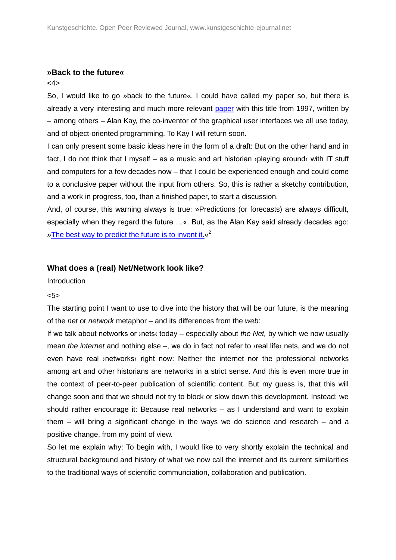### **»Back to the future«**

## <4>

So, I would like to go »back to the future«. I could have called my paper so, but there is already a very interesting and much more relevant [paper](http://portal.acm.org/citation.cfm?doid=263698.263754) with this title from 1997, written by – among others – Alan Kay, the co-inventor of the graphical user interfaces we all use today, and of object-oriented programming. To Kay I will return soon.

I can only present some basic ideas here in the form of a draft: But on the other hand and in fact, I do not think that I myself – as a music and art historian ›playing around‹ with IT stuff and computers for a few decades now – that I could be experienced enough and could come to a conclusive paper without the input from others. So, this is rather a sketchy contribution, and a work in progress, too, than a finished paper, to start a discussion.

And, of course, this warning always is true: »Predictions (or forecasts) are always difficult, especially when they regard the future …«. But, as the Alan Kay said already decades ago: »The best way to predict the future is to invent it. «<sup>2</sup>

## **What does a (real) Net/Network look like?**

**Introduction** 

### <5>

The starting point I want to use to dive into the history that will be our future, is the meaning of the *net* or *network* metaphor – and its differences from the *web*:

If we talk about networks or ›nets‹ today – especially about *the Net,* by which we now usually mean *the internet* and nothing else –, we do in fact not refer to ›real life‹ nets, and we do not even have real >networks< right now: Neither the internet nor the professional networks among art and other historians are networks in a strict sense. And this is even more true in the context of peer-to-peer publication of scientific content. But my guess is, that this will change soon and that we should not try to block or slow down this development. Instead: we should rather encourage it: Because real networks – as I understand and want to explain them – will bring a significant change in the ways we do science and research – and a positive change, from my point of view.

So let me explain why: To begin with, I would like to very shortly explain the technical and structural background and history of what we now call the internet and its current similarities to the traditional ways of scientific communciation, collaboration and publication.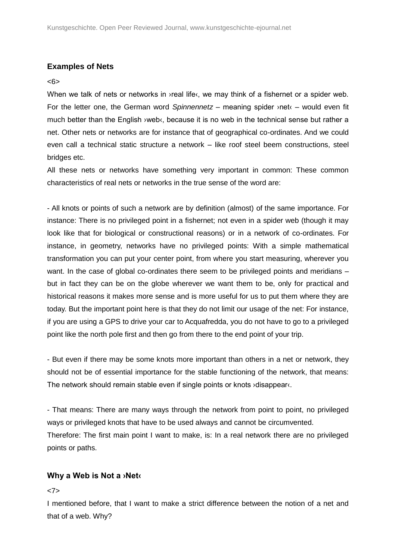# **Examples of Nets**

## <6>

When we talk of nets or networks in *yeal life* of we may think of a fishernet or a spider web. For the letter one, the German word *Spinnennetz* – meaning spider ›net‹ – would even fit much better than the English >web<, because it is no web in the technical sense but rather a net. Other nets or networks are for instance that of geographical co-ordinates. And we could even call a technical static structure a network – like roof steel beem constructions, steel bridges etc.

All these nets or networks have something very important in common: These common characteristics of real nets or networks in the true sense of the word are:

- All knots or points of such a network are by definition (almost) of the same importance. For instance: There is no privileged point in a fishernet; not even in a spider web (though it may look like that for biological or constructional reasons) or in a network of co-ordinates. For instance, in geometry, networks have no privileged points: With a simple mathematical transformation you can put your center point, from where you start measuring, wherever you want. In the case of global co-ordinates there seem to be privileged points and meridians – but in fact they can be on the globe wherever we want them to be, only for practical and historical reasons it makes more sense and is more useful for us to put them where they are today. But the important point here is that they do not limit our usage of the net: For instance, if you are using a GPS to drive your car to Acquafredda, you do not have to go to a privileged point like the north pole first and then go from there to the end point of your trip.

- But even if there may be some knots more important than others in a net or network, they should not be of essential importance for the stable functioning of the network, that means: The network should remain stable even if single points or knots ›disappear‹.

- That means: There are many ways through the network from point to point, no privileged ways or privileged knots that have to be used always and cannot be circumvented. Therefore: The first main point I want to make, is: In a real network there are no privileged points or paths.

# **Why a Web is Not a ›Net‹**

## <7>

I mentioned before, that I want to make a strict difference between the notion of a net and that of a web. Why?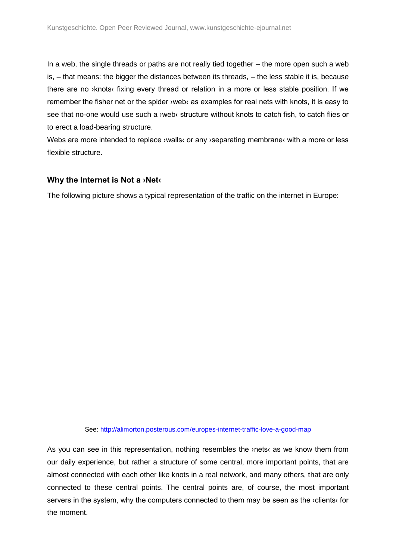In a web, the single threads or paths are not really tied together – the more open such a web is, – that means: the bigger the distances between its threads, – the less stable it is, because there are no ›knots‹ fixing every thread or relation in a more or less stable position. If we remember the fisher net or the spider ›web‹ as examples for real nets with knots, it is easy to see that no-one would use such a *yweb* structure without knots to catch fish, to catch flies or to erect a load-bearing structure.

Webs are more intended to replace *walls* or any *separating membrane* with a more or less flexible structure.

## **Why the Internet is Not a ›Net‹**

The following picture shows a typical representation of the traffic on the internet in Europe:

See:<http://alimorton.posterous.com/europes-internet-traffic-love-a-good-map>

As you can see in this representation, nothing resembles the ›nets‹ as we know them from our daily experience, but rather a structure of some central, more important points, that are almost connected with each other like knots in a real network, and many others, that are only connected to these central points. The central points are, of course, the most important servers in the system, why the computers connected to them may be seen as the ›clients‹ for the moment.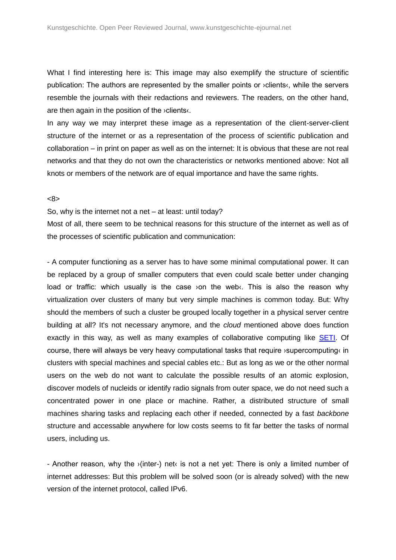What I find interesting here is: This image may also exemplify the structure of scientific publication: The authors are represented by the smaller points or ›clients‹, while the servers resemble the journals with their redactions and reviewers. The readers, on the other hand, are then again in the position of the ›clients‹.

In any way we may interpret these image as a representation of the client-server-client structure of the internet or as a representation of the process of scientific publication and collaboration – in print on paper as well as on the internet: It is obvious that these are not real networks and that they do not own the characteristics or networks mentioned above: Not all knots or members of the network are of equal importance and have the same rights.

#### <8>

So, why is the internet not a net – at least: until today?

Most of all, there seem to be technical reasons for this structure of the internet as well as of the processes of scientific publication and communication:

- A computer functioning as a server has to have some minimal computational power. It can be replaced by a group of smaller computers that even could scale better under changing load or traffic: which usually is the case ›on the web‹. This is also the reason why virtualization over clusters of many but very simple machines is common today. But: Why should the members of such a cluster be grouped locally together in a physical server centre building at all? It's not necessary anymore, and the *cloud* mentioned above does function exactly in this way, as well as many examples of collaborative computing like **SETI**. Of course, there will always be very heavy computational tasks that require ›supercomputing‹ in clusters with special machines and special cables etc.: But as long as we or the other normal users on the web do not want to calculate the possible results of an atomic explosion, discover models of nucleids or identify radio signals from outer space, we do not need such a concentrated power in one place or machine. Rather, a distributed structure of small machines sharing tasks and replacing each other if needed, connected by a fast *backbone* structure and accessable anywhere for low costs seems to fit far better the tasks of normal users, including us.

- Another reason, why the ›(inter-) net‹ is not a net yet: There is only a limited number of internet addresses: But this problem will be solved soon (or is already solved) with the new version of the internet protocol, called IPv6.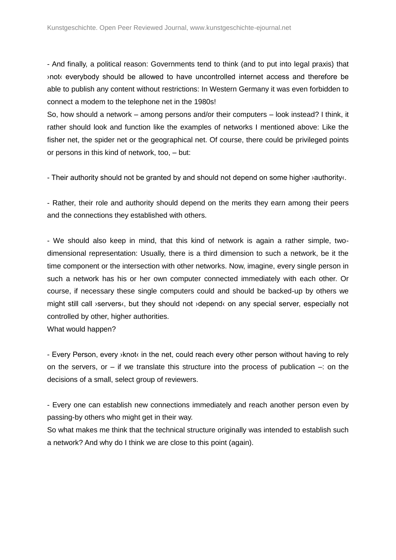- And finally, a political reason: Governments tend to think (and to put into legal praxis) that ›not‹ everybody should be allowed to have uncontrolled internet access and therefore be able to publish any content without restrictions: In Western Germany it was even forbidden to connect a modem to the telephone net in the 1980s!

So, how should a network – among persons and/or their computers – look instead? I think, it rather should look and function like the examples of networks I mentioned above: Like the fisher net, the spider net or the geographical net. Of course, there could be privileged points or persons in this kind of network, too, – but:

- Their authority should not be granted by and should not depend on some higher > authority <.

- Rather, their role and authority should depend on the merits they earn among their peers and the connections they established with others.

- We should also keep in mind, that this kind of network is again a rather simple, twodimensional representation: Usually, there is a third dimension to such a network, be it the time component or the intersection with other networks. Now, imagine, every single person in such a network has his or her own computer connected immediately with each other. Or course, if necessary these single computers could and should be backed-up by others we might still call ›servers‹, but they should not ›depend‹ on any special server, especially not controlled by other, higher authorities.

What would happen?

- Every Person, every ›knot‹ in the net, could reach every other person without having to rely on the servers, or – if we translate this structure into the process of publication  $-$ : on the decisions of a small, select group of reviewers.

- Every one can establish new connections immediately and reach another person even by passing-by others who might get in their way.

So what makes me think that the technical structure originally was intended to establish such a network? And why do I think we are close to this point (again).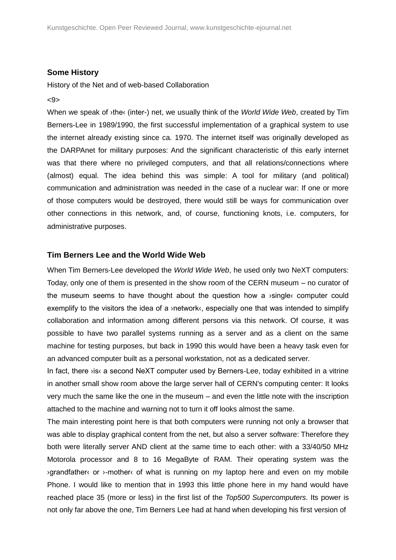## **Some History**

History of the Net and of web-based Collaboration

### <9>

When we speak of ›the‹ (inter-) net, we usually think of the *World Wide Web*, created by Tim Berners-Lee in 1989/1990, the first successful implementation of a graphical system to use the internet already existing since ca. 1970. The internet itself was originally developed as the DARPAnet for military purposes: And the significant characteristic of this early internet was that there where no privileged computers, and that all relations/connections where (almost) equal. The idea behind this was simple: A tool for military (and political) communication and administration was needed in the case of a nuclear war: If one or more of those computers would be destroyed, there would still be ways for communication over other connections in this network, and, of course, functioning knots, i.e. computers, for administrative purposes.

## **Tim Berners Lee and the World Wide Web**

When Tim Berners-Lee developed the *World Wide Web*, he used only two NeXT computers: Today, only one of them is presented in the show room of the CERN museum – no curator of the museum seems to have thought about the question how a ›single‹ computer could exemplify to the visitors the idea of a ›network‹, especially one that was intended to simplify collaboration and information among different persons via this network. Of course, it was possible to have two parallel systems running as a server and as a client on the same machine for testing purposes, but back in 1990 this would have been a heavy task even for an advanced computer built as a personal workstation, not as a dedicated server.

In fact, there  $visc$  a second NeXT computer used by Berners-Lee, today exhibited in a vitrine in another small show room above the large server hall of CERN's computing center: It looks very much the same like the one in the museum – and even the little note with the inscription attached to the machine and warning not to turn it off looks almost the same.

The main interesting point here is that both computers were running not only a browser that was able to display graphical content from the net, but also a server software: Therefore they both were literally server AND client at the same time to each other: with a 33/40/50 MHz Motorola processor and 8 to 16 MegaByte of RAM. Their operating system was the ›grandfather‹ or ›-mother‹ of what is running on my laptop here and even on my mobile Phone. I would like to mention that in 1993 this little phone here in my hand would have reached place 35 (more or less) in the first list of the *Top500 Supercomputers*. Its power is not only far above the one, Tim Berners Lee had at hand when developing his first version of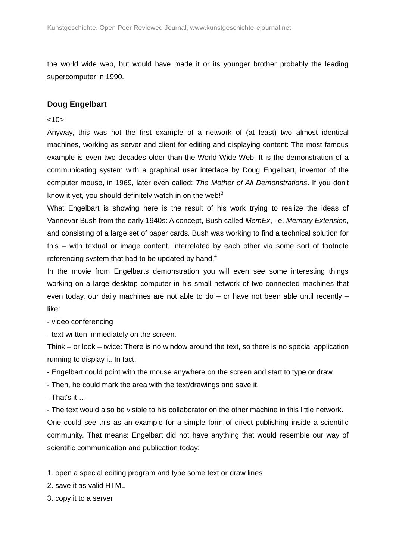the world wide web, but would have made it or its younger brother probably the leading supercomputer in 1990.

# **Doug Engelbart**

## $<10>$

Anyway, this was not the first example of a network of (at least) two almost identical machines, working as server and client for editing and displaying content: The most famous example is even two decades older than the World Wide Web: It is the demonstration of a communicating system with a graphical user interface by Doug Engelbart, inventor of the computer mouse, in 1969, later even called: *The Mother of All Demonstrations*. If you don't know it yet, you should definitely watch in on the web!<sup>3</sup>

What Engelbart is showing here is the result of his work trying to realize the ideas of Vannevar Bush from the early 1940s: A concept, Bush called *MemEx*, i.e. *Memory Extension*, and consisting of a large set of paper cards. Bush was working to find a technical solution for this – with textual or image content, interrelated by each other via some sort of footnote referencing system that had to be updated by hand.<sup>4</sup>

In the movie from Engelbarts demonstration you will even see some interesting things working on a large desktop computer in his small network of two connected machines that even today, our daily machines are not able to do  $-$  or have not been able until recently  $$ like:

- video conferencing

- text written immediately on the screen.

Think – or look – twice: There is no window around the text, so there is no special application running to display it. In fact,

- Engelbart could point with the mouse anywhere on the screen and start to type or draw.

- Then, he could mark the area with the text/drawings and save it.

- That's it …

- The text would also be visible to his collaborator on the other machine in this little network. One could see this as an example for a simple form of direct publishing inside a scientific community. That means: Engelbart did not have anything that would resemble our way of scientific communication and publication today:

1. open a special editing program and type some text or draw lines

2. save it as valid HTML

3. copy it to a server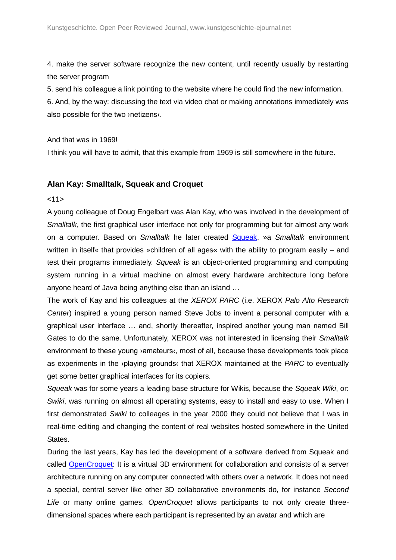4. make the server software recognize the new content, until recently usually by restarting the server program

5. send his colleague a link pointing to the website where he could find the new information.

6. And, by the way: discussing the text via video chat or making annotations immediately was also possible for the two ›netizens‹.

## And that was in 1969!

I think you will have to admit, that this example from 1969 is still somewhere in the future.

# **Alan Kay: Smalltalk, Squeak and Croquet**

## $<11>$

A young colleague of Doug Engelbart was Alan Kay, who was involved in the development of *Smalltalk*, the first graphical user interface not only for programming but for almost any work on a computer. Based on *Smalltalk* he later created [Squeak,](http://www.squeak.org/) »a *Smalltalk* environment written in itself« that provides »children of all ages« with the ability to program easily – and test their programs immediately. *Squeak* is an object-oriented programming and computing system running in a virtual machine on almost every hardware architecture long before anyone heard of Java being anything else than an island …

The work of Kay and his colleagues at the *XEROX PARC* (i.e. XEROX *Palo Alto Research Center*) inspired a young person named Steve Jobs to invent a personal computer with a graphical user interface … and, shortly thereafter, inspired another young man named Bill Gates to do the same. Unfortunately, XEROX was not interested in licensing their *Smalltalk* environment to these young ›amateurs‹, most of all, because these developments took place as experiments in the ›playing grounds‹ that XEROX maintained at the *PARC* to eventually get some better graphical interfaces for its copiers.

*Squeak* was for some years a leading base structure for Wikis, because the *Squeak Wiki*, or: *Swiki*, was running on almost all operating systems, easy to install and easy to use. When I first demonstrated *Swiki* to colleages in the year 2000 they could not believe that I was in real-time editing and changing the content of real websites hosted somewhere in the United States.

During the last years, Kay has led the development of a software derived from Squeak and called [OpenCroquet:](http://www.opencroquet.org/) It is a virtual 3D environment for collaboration and consists of a server architecture running on any computer connected with others over a network. It does not need a special, central server like other 3D collaborative environments do, for instance *Second Life* or many online games. *OpenCroquet* allows participants to not only create threedimensional spaces where each participant is represented by an avatar and which are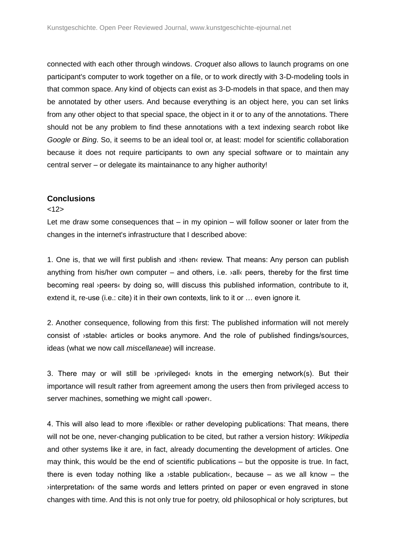connected with each other through windows. *Croquet* also allows to launch programs on one participant's computer to work together on a file, or to work directly with 3-D-modeling tools in that common space. Any kind of objects can exist as 3-D-models in that space, and then may be annotated by other users. And because everything is an object here, you can set links from any other object to that special space, the object in it or to any of the annotations. There should not be any problem to find these annotations with a text indexing search robot like *Google* or *Bing*. So, it seems to be an ideal tool or, at least: model for scientific collaboration because it does not require participants to own any special software or to maintain any central server – or delegate its maintainance to any higher authority!

## **Conclusions**

### <12>

Let me draw some consequences that  $-$  in my opinion  $-$  will follow sooner or later from the changes in the internet's infrastructure that I described above:

1. One is, that we will first publish and ›then‹ review. That means: Any person can publish anything from his/her own computer – and others, i.e.  $\lambda$ alle peers, thereby for the first time becoming real ›peers‹ by doing so, willl discuss this published information, contribute to it, extend it, re-use (i.e.: cite) it in their own contexts, link to it or … even ignore it.

2. Another consequence, following from this first: The published information will not merely consist of ›stable‹ articles or books anymore. And the role of published findings/sources, ideas (what we now call *miscellaneae*) will increase.

3. There may or will still be >privileged knots in the emerging network(s). But their importance will result rather from agreement among the users then from privileged access to server machines, something we might call >power‹.

4. This will also lead to more ›flexible‹ or rather developing publications: That means, there will not be one, never-changing publication to be cited, but rather a version history: *Wikipedia* and other systems like it are, in fact, already documenting the development of articles. One may think, this would be the end of scientific publications – but the opposite is true. In fact, there is even today nothing like a  $\lambda$  stable publication. because – as we all know – the ›interpretation‹ of the same words and letters printed on paper or even engraved in stone changes with time. And this is not only true for poetry, old philosophical or holy scriptures, but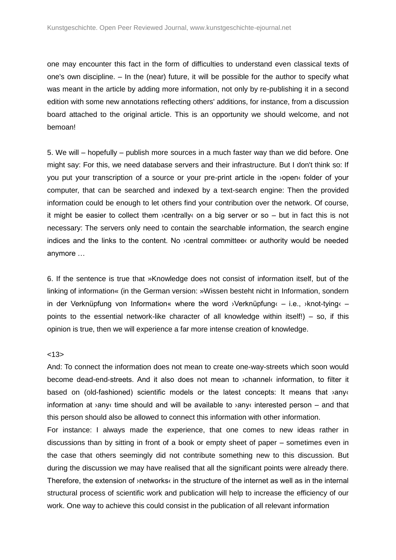one may encounter this fact in the form of difficulties to understand even classical texts of one's own discipline. – In the (near) future, it will be possible for the author to specify what was meant in the article by adding more information, not only by re-publishing it in a second edition with some new annotations reflecting others' additions, for instance, from a discussion board attached to the original article. This is an opportunity we should welcome, and not bemoan!

5. We will – hopefully – publish more sources in a much faster way than we did before. One might say: For this, we need database servers and their infrastructure. But I don't think so: If you put your transcription of a source or your pre-print article in the ›open‹ folder of your computer, that can be searched and indexed by a text-search engine: Then the provided information could be enough to let others find your contribution over the network. Of course, it might be easier to collect them  $\alpha$  centrally on a big server or so – but in fact this is not necessary: The servers only need to contain the searchable information, the search engine indices and the links to the content. No ›central committee‹ or authority would be needed anymore …

6. If the sentence is true that »Knowledge does not consist of information itself, but of the linking of information« (in the German version: »Wissen besteht nicht in Information, sondern in der Verknüpfung von Information« where the word >Verknüpfung‹ – i.e., >knot-tying‹ – points to the essential network-like character of all knowledge within itself!) – so, if this opinion is true, then we will experience a far more intense creation of knowledge.

## $< 13>$

And: To connect the information does not mean to create one-way-streets which soon would become dead-end-streets. And it also does not mean to ›channel‹ information, to filter it based on (old-fashioned) scientific models or the latest concepts: It means that  $\lambda$ anyo information at  $\alpha$  any time should and will be available to  $\alpha$  any interested person – and that this person should also be allowed to connect this information with other information.

For instance: I always made the experience, that one comes to new ideas rather in discussions than by sitting in front of a book or empty sheet of paper – sometimes even in the case that others seemingly did not contribute something new to this discussion. But during the discussion we may have realised that all the significant points were already there. Therefore, the extension of ›networks‹ in the structure of the internet as well as in the internal structural process of scientific work and publication will help to increase the efficiency of our work. One way to achieve this could consist in the publication of all relevant information